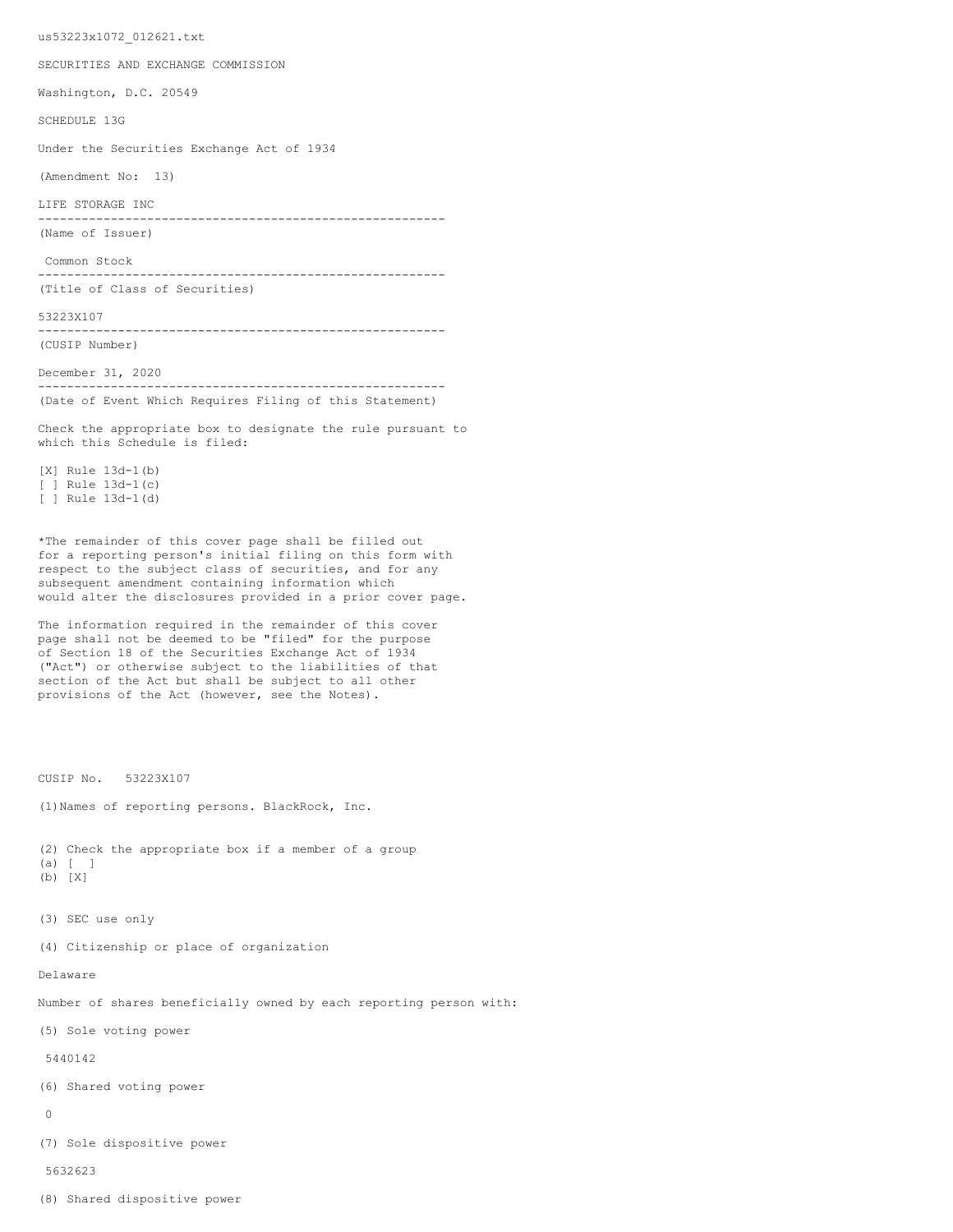us53223x1072\_012621.txt

SECURITIES AND EXCHANGE COMMISSION

Washington, D.C. 20549

SCHEDULE 13G

Under the Securities Exchange Act of 1934

(Amendment No: 13)

LIFE STORAGE INC

-------------------------------------------------------- (Name of Issuer)

Common Stock

-------------------------------------------------------- (Title of Class of Securities)

53223X107

-------------------------------------------------------- (CUSIP Number)

December 31, 2020

-------------------------------------------------------- (Date of Event Which Requires Filing of this Statement)

Check the appropriate box to designate the rule pursuant to which this Schedule is filed:

[X] Rule 13d-1(b) [ ] Rule 13d-1(c) [ ] Rule 13d-1(d)

\*The remainder of this cover page shall be filled out for a reporting person's initial filing on this form with respect to the subject class of securities, and for any subsequent amendment containing information which would alter the disclosures provided in a prior cover page.

The information required in the remainder of this cover page shall not be deemed to be "filed" for the purpose of Section 18 of the Securities Exchange Act of 1934 ("Act") or otherwise subject to the liabilities of that section of the Act but shall be subject to all other provisions of the Act (however, see the Notes).

CUSIP No. 53223X107

(1)Names of reporting persons. BlackRock, Inc.

```
(2) Check the appropriate box if a member of a group
(a) [ ]
(b) [X]
```
- 
- (3) SEC use only

(4) Citizenship or place of organization

Delaware

Number of shares beneficially owned by each reporting person with:

(5) Sole voting power

5440142

(6) Shared voting power

 $\Omega$ 

(7) Sole dispositive power

5632623

(8) Shared dispositive power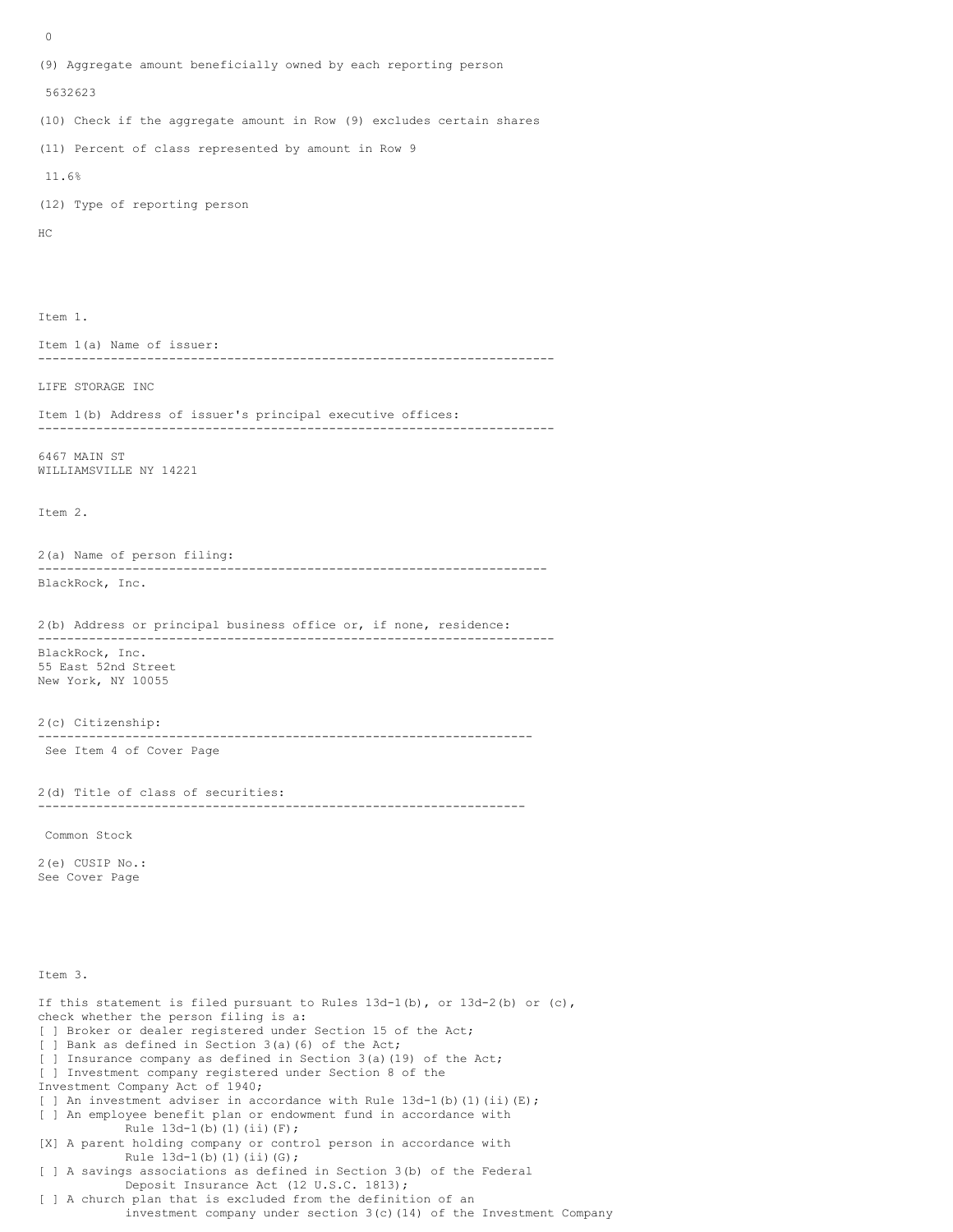0 (9) Aggregate amount beneficially owned by each reporting person 5632623 (10) Check if the aggregate amount in Row (9) excludes certain shares (11) Percent of class represented by amount in Row 9 11.6% (12) Type of reporting person HC Item 1. Item 1(a) Name of issuer: ----------------------------------------------------------------------- LIFE STORAGE INC Item 1(b) Address of issuer's principal executive offices: ----------------------------------------------------------------------- 6467 MAIN ST WILLIAMSVILLE NY 14221 Item 2. 2(a) Name of person filing: ---------------------------------------------------------------------- BlackRock, Inc. 2(b) Address or principal business office or, if none, residence: ----------------------------------------------------------------------- BlackRock, Inc. 55 East 52nd Street New York, NY 10055 2(c) Citizenship: -------------------------------------------------------------------- See Item 4 of Cover Page 2(d) Title of class of securities: ------------------------------------------------------------------- Common Stock 2(e) CUSIP No.: See Cover Page Item 3. If this statement is filed pursuant to Rules  $13d-1(b)$ , or  $13d-2(b)$  or  $(c)$ , check whether the person filing is a: [ ] Broker or dealer registered under Section 15 of the Act; [ ] Bank as defined in Section 3(a)(6) of the Act; [ ] Insurance company as defined in Section 3(a)(19) of the Act; [ ] Investment company registered under Section 8 of the Investment Company Act of 1940; [ ] An investment adviser in accordance with Rule  $13d-1$ (b)(1)(ii)(E); [ ] An employee benefit plan or endowment fund in accordance with Rule  $13d-1(b)$  (1)(ii)(F); [X] A parent holding company or control person in accordance with

Rule 13d-1(b)(1)(ii)(G); [ ] A savings associations as defined in Section 3(b) of the Federal Deposit Insurance Act (12 U.S.C. 1813); [ ] A church plan that is excluded from the definition of an investment company under section 3(c)(14) of the Investment Company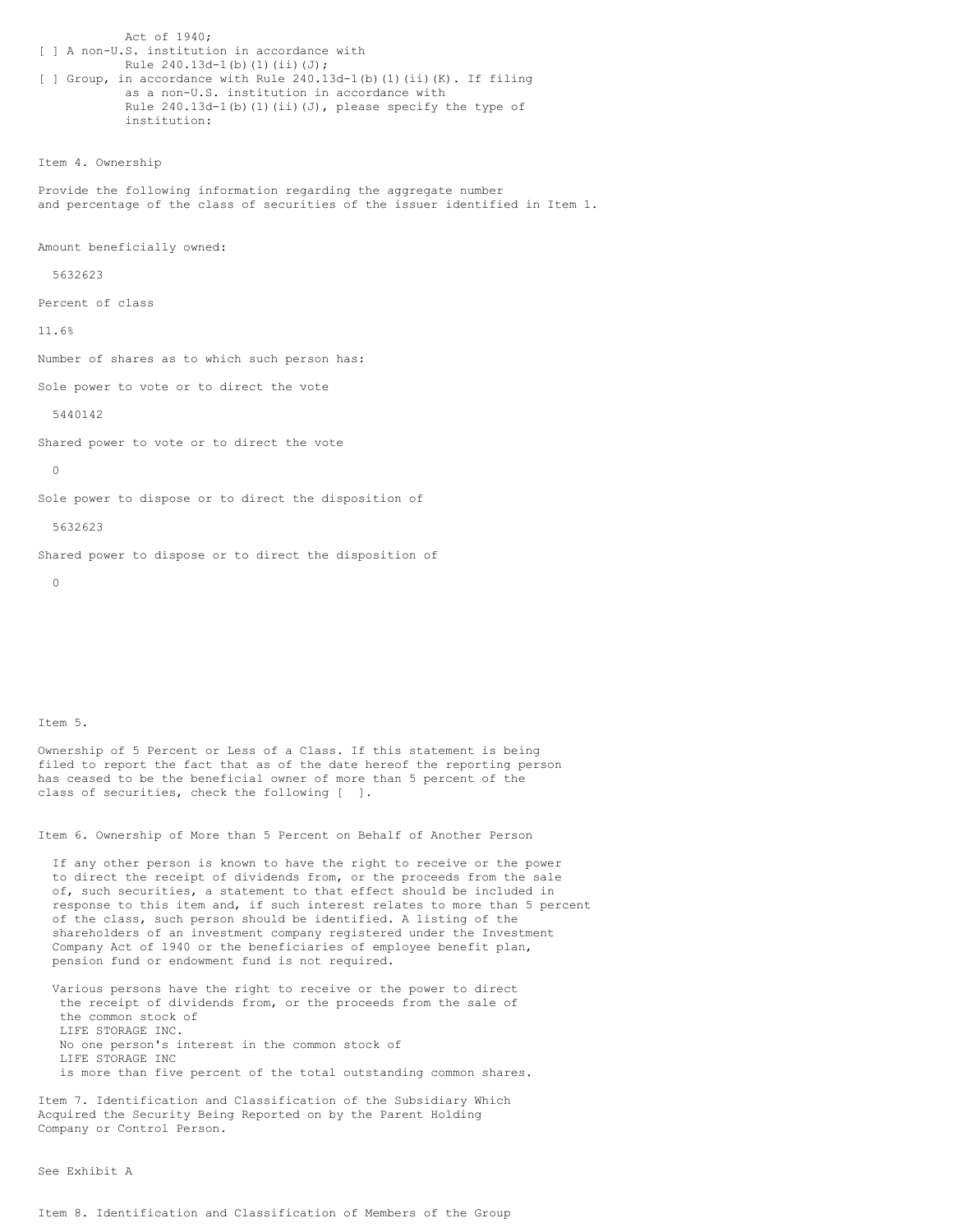Act of 1940; [ ] A non-U.S. institution in accordance with Rule 240.13d-1(b)(1)(ii)(J); [ ] Group, in accordance with Rule 240.13d-1(b)(1)(ii)(K). If filing as a non-U.S. institution in accordance with Rule  $240.13d-1$ (b)(1)(ii)(J), please specify the type of institution:

Item 4. Ownership

Provide the following information regarding the aggregate number and percentage of the class of securities of the issuer identified in Item 1.

Amount beneficially owned:

5632623

Percent of class

11.6%

Number of shares as to which such person has:

Sole power to vote or to direct the vote

5440142

Shared power to vote or to direct the vote

 $\cap$ 

Sole power to dispose or to direct the disposition of

5632623

Shared power to dispose or to direct the disposition of

 $\Omega$ 

## Item 5.

Ownership of 5 Percent or Less of a Class. If this statement is being filed to report the fact that as of the date hereof the reporting person has ceased to be the beneficial owner of more than 5 percent of the class of securities, check the following [ ].

Item 6. Ownership of More than 5 Percent on Behalf of Another Person

If any other person is known to have the right to receive or the power to direct the receipt of dividends from, or the proceeds from the sale of, such securities, a statement to that effect should be included in response to this item and, if such interest relates to more than 5 percent of the class, such person should be identified. A listing of the shareholders of an investment company registered under the Investment Company Act of 1940 or the beneficiaries of employee benefit plan, pension fund or endowment fund is not required.

Various persons have the right to receive or the power to direct the receipt of dividends from, or the proceeds from the sale of the common stock of LIFE STORAGE INC. No one person's interest in the common stock of LIFE STORAGE INC is more than five percent of the total outstanding common shares.

Item 7. Identification and Classification of the Subsidiary Which Acquired the Security Being Reported on by the Parent Holding Company or Control Person.

See Exhibit A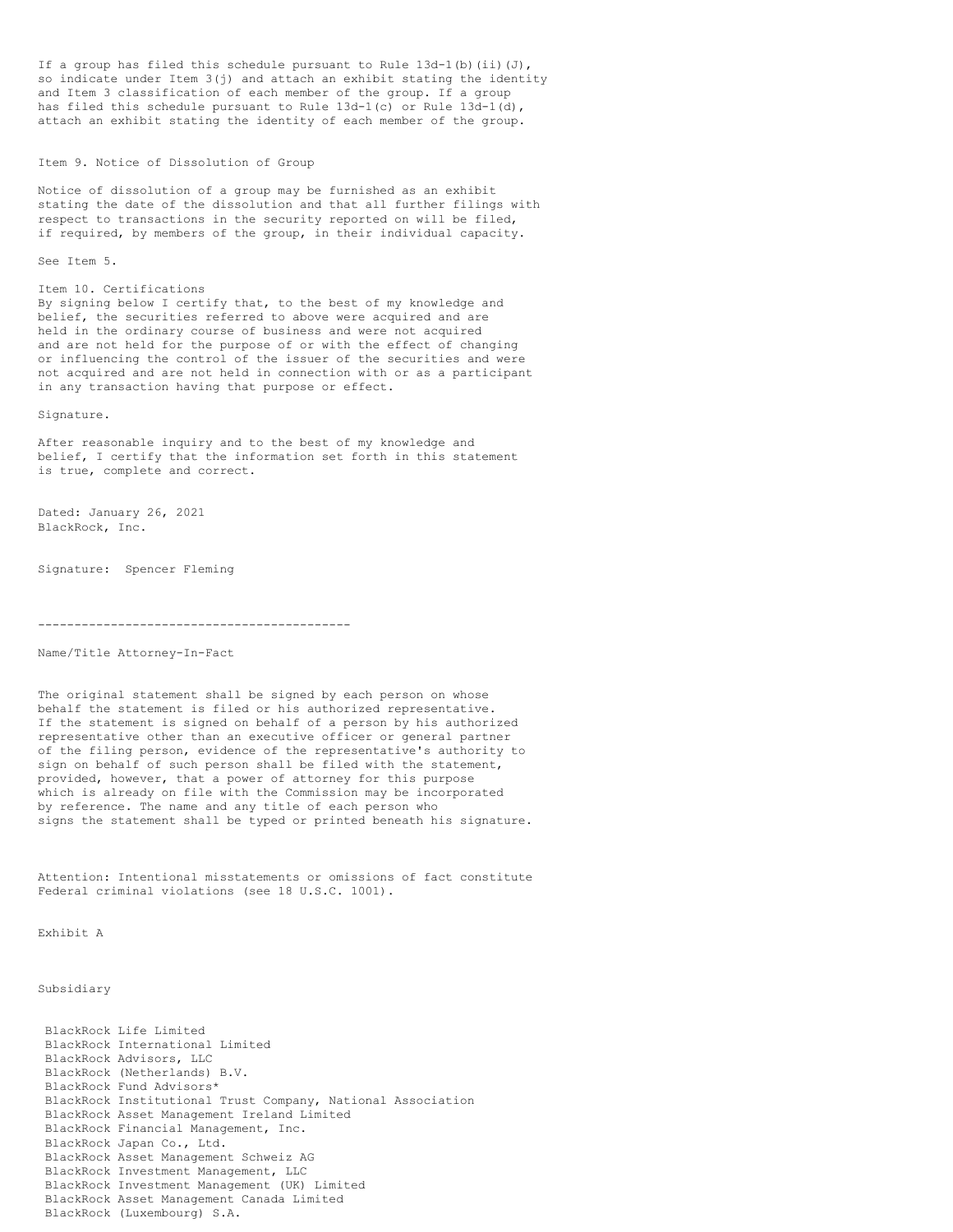If a group has filed this schedule pursuant to Rule  $13d-1(b)$  (ii)(J), so indicate under Item 3(j) and attach an exhibit stating the identity and Item 3 classification of each member of the group. If a group has filed this schedule pursuant to Rule  $13d-1(c)$  or Rule  $13d-1(d)$ , attach an exhibit stating the identity of each member of the group.

Item 9. Notice of Dissolution of Group

Notice of dissolution of a group may be furnished as an exhibit stating the date of the dissolution and that all further filings with respect to transactions in the security reported on will be filed, if required, by members of the group, in their individual capacity.

See Item 5.

## Item 10. Certifications

By signing below I certify that, to the best of my knowledge and belief, the securities referred to above were acquired and are held in the ordinary course of business and were not acquired and are not held for the purpose of or with the effect of changing or influencing the control of the issuer of the securities and were not acquired and are not held in connection with or as a participant in any transaction having that purpose or effect.

Signature.

After reasonable inquiry and to the best of my knowledge and belief, I certify that the information set forth in this statement is true, complete and correct.

Dated: January 26, 2021 BlackRock, Inc.

Signature: Spencer Fleming

-------------------------------------------

Name/Title Attorney-In-Fact

The original statement shall be signed by each person on whose behalf the statement is filed or his authorized representative. If the statement is signed on behalf of a person by his authorized representative other than an executive officer or general partner of the filing person, evidence of the representative's authority to sign on behalf of such person shall be filed with the statement, provided, however, that a power of attorney for this purpose which is already on file with the Commission may be incorporated by reference. The name and any title of each person who signs the statement shall be typed or printed beneath his signature.

Attention: Intentional misstatements or omissions of fact constitute Federal criminal violations (see 18 U.S.C. 1001).

Exhibit A

Subsidiary

| BlackRock Life Limited<br>BlackRock International Limited<br>BlackRock Advisors, LLC<br>BlackRock (Netherlands) B.V. |
|----------------------------------------------------------------------------------------------------------------------|
| BlackRock Fund Advisors*                                                                                             |
| BlackRock Institutional Trust Company, National Association                                                          |
| BlackRock Asset Management Ireland Limited                                                                           |
| BlackRock Financial Management, Inc.                                                                                 |
| BlackRock Japan Co., Ltd.                                                                                            |
| BlackRock Asset Management Schweiz AG                                                                                |
| BlackRock Investment Management, LLC                                                                                 |
| BlackRock Investment Management (UK) Limited                                                                         |
| BlackRock Asset Management Canada Limited                                                                            |
| BlackRock (Luxembourg) S.A.                                                                                          |